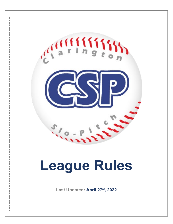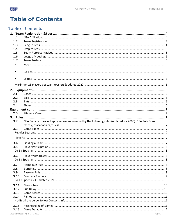

## **Table of Contents**

## **Table of Contents**

| 1.1.           |                                                                                                         |        |  |  |
|----------------|---------------------------------------------------------------------------------------------------------|--------|--|--|
| 1.2.           |                                                                                                         |        |  |  |
| 1.3.           |                                                                                                         |        |  |  |
| 1.4.           |                                                                                                         |        |  |  |
| 1.5.           |                                                                                                         |        |  |  |
| 1.6.           |                                                                                                         |        |  |  |
| 1.7.           |                                                                                                         |        |  |  |
| $\blacksquare$ |                                                                                                         |        |  |  |
|                |                                                                                                         |        |  |  |
|                |                                                                                                         |        |  |  |
|                |                                                                                                         |        |  |  |
|                |                                                                                                         |        |  |  |
|                |                                                                                                         |        |  |  |
|                |                                                                                                         |        |  |  |
|                |                                                                                                         |        |  |  |
| 2.1            |                                                                                                         |        |  |  |
| 2.2.           |                                                                                                         |        |  |  |
| 2.3.           |                                                                                                         |        |  |  |
| 2.4.           |                                                                                                         |        |  |  |
|                |                                                                                                         |        |  |  |
| 2.5.           |                                                                                                         |        |  |  |
|                |                                                                                                         |        |  |  |
| 3.2.           | NSA Canada rules will apply unless superseded by the following rules (updated for 2005). NSA Rule Book: |        |  |  |
|                |                                                                                                         |        |  |  |
| 3.3.           |                                                                                                         |        |  |  |
|                |                                                                                                         |        |  |  |
|                |                                                                                                         |        |  |  |
|                |                                                                                                         |        |  |  |
| 3.4.           |                                                                                                         |        |  |  |
| 3.5.           |                                                                                                         |        |  |  |
|                |                                                                                                         |        |  |  |
|                |                                                                                                         |        |  |  |
| 3.6.           |                                                                                                         |        |  |  |
|                |                                                                                                         |        |  |  |
| 3.7.           |                                                                                                         |        |  |  |
| 3.8.           |                                                                                                         |        |  |  |
| 3.9.           |                                                                                                         |        |  |  |
| 3.10.          |                                                                                                         |        |  |  |
|                |                                                                                                         |        |  |  |
|                |                                                                                                         |        |  |  |
| 3.11.          |                                                                                                         |        |  |  |
| 3.12.          |                                                                                                         |        |  |  |
| 3.13.          |                                                                                                         |        |  |  |
| 3.14.          |                                                                                                         |        |  |  |
|                |                                                                                                         |        |  |  |
| 3.15.          |                                                                                                         |        |  |  |
| 3.16.          |                                                                                                         |        |  |  |
|                | Last Updated: April 27,2022,                                                                            | Page 2 |  |  |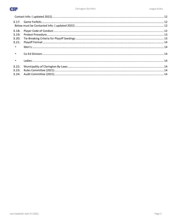| 3.19.           |  |
|-----------------|--|
| 3.20.           |  |
| 3.21.           |  |
| $\sim$ 10 $\pm$ |  |
| $\blacksquare$  |  |
| $\sim$          |  |
| 3.22.           |  |
| 3.23.           |  |
|                 |  |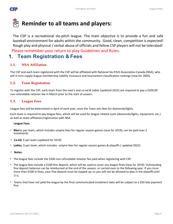

# **Reminder to all teams and players:**

The CSP is a recreational slo-pitch league. The main objective is to provide a fun and safe baseball environment for adults within the community. Good, clean, competition is expected! Rough play and physical/ verbal abuse of officials and fellow CSP players will not be tolerated! Please remember your return to play Guidelines and Rules.

### <span id="page-3-0"></span>**1. Team Registration & Fees**

#### <span id="page-3-1"></span>**1.1. NSA Affiliation**

The CSP and each team registered with the CSP will be affiliated with National Slo-Pitch Association Canada (NSA), who will in turn supply league membership liability insurance and tournament classification rankings (new for 2005).

#### <span id="page-3-2"></span>**1.2. Team Registration**

To register with the CSP, each team from the men's and co-ed & ladies (updated 2022) are required to pay a \$200.00 non-refundable retainer fee in March prior to the start of season.

#### <span id="page-3-3"></span>**1.3. League Fees**

League fees will be determined in April of each year, once the Town sets fees for diamonds/lights.

Each team is required to pay league fees, which will be used for league related costs (diamonds/lights, equipment, etc.) as well as team affiliation/registration with NSA.

#### **League Fees:**

- **Men's:** per team, which includes umpire fees for regular season games (new for 2019); can be paid over 2 instalments
- **Co-Ed:** \$ per team (updated for 2019)
- **Ladies**: \$ per team, which includes umpire fees for regular season games & playoffs ( updated 2022)
- **Notes:**
- The league fees include the \$200 non-refundable retainer fee paid when registering with CSP.
- The league fees include a \$100 fine deposit, which will be used to cover any league fines (new for 2019). Outstanding fine deposit balances can be reimbursed at the end of the season, or carried over to the following year. If you incur more than \$100 in fines, your fine deposit must be topped up, or you will not be allowed to play in the playoffsuntil it is.
- Teams that have not paid the league by the final communicated instalment date will be subject to a \$50 late payment fine.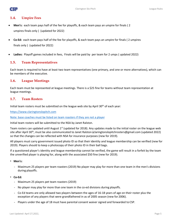

#### <span id="page-4-0"></span>**1.4. Umpire Fees**

- **Men's:** each team pays half of the fee for playoffs, & each team pays an umpire for finals ( 2 umpires finals only ) (updated for 2022)
- **Co-Ed:** each team pays half of the fee for playoffs, & each team pays an umpire for finals ( 2 umpires finals only ) (updated for 2022)
- **Ladies:** Playoff games included in fees, Finals will be paid by per team for 2 umps ( updated 2022)

#### <span id="page-4-1"></span>**1.5. Team Representatives**

Each team is required to have at least two team representatives (one primary, and one or more alternatives), which can be members of the executive.

#### <span id="page-4-2"></span>**1.6. League Meetings**

Each team must be represented at league meetings. There is a \$25 fine for teams without team representation at league meetings.

#### <span id="page-4-3"></span>**1.7. Team Rosters**

Initial team rosters must be submitted on the league web site by April 30<sup>th</sup> of each year:

[https://www.claringtonslopitch.com](https://www.claringtonslopitch.com/)

Note: base coaches must be listed on team roasters if they are not a player

Initial team rosters will be submitted to the NSA by Janet Ralston.

Team rosters can updated until August 1<sup>st</sup> (updated for 2018). Any updates made to the initial roster on the league web site after April 30<sup>th</sup>, must be also communicated to Janet Ralston (claringtonslopitchrosters@gmail.com (updated 2022) so that the changes can be reflected with NSA for insurance purposes (new for 2019).

All players must carry government issued photo ID so that their identity and league membership can be verified (new for 2019). Players should to keep a photocopy of their photo ID in their ball bags.

If a questioned player's identity and league membership cannot be verified, the game will result in a forfeit by the team the unverified player is playing for, along with the associated \$50 fine (new for 2019).

- <span id="page-4-4"></span>▪ **Men's:**
	- Maximum 25 players per team roasters (2019) No player may play for more than one team in the men's divisions during playoffs.
- <span id="page-4-5"></span>▪ **Co-Ed:**
	- Maximum 25 players pet team roasters (2019)
	- No player may play for more than one team in the co-ed divisions during playoffs.
	- Co-Ed teams are only allowed two players between the ages of 16-18 years of age on their roster plus the exception of any players that were grandfathered in as of 2005 season (new for 2006).
	- Players under the age of 18 must have parental consent waiver signed and forwarded to CSP.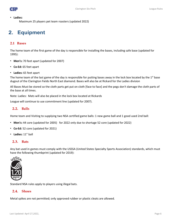

<span id="page-5-1"></span><span id="page-5-0"></span>▪ **Ladies:** 

Maximum 25 players pet team roasters (updated 2022)

## <span id="page-5-2"></span>**2. Equipment**

#### <span id="page-5-3"></span>**2.1 Bases**

The home team of the first game of the day is responsible for installing the bases, including safe base (updated for 1995):

- **Men's:** 70 feet apart (updated for 2007)
- **Co-Ed:** 65 feet apart
- **Ladies:** 65 feet apart

The home team of the last game of the day is responsible for putting bases away in the lock box located by the  $1<sup>st</sup>$  base dugout of the Clarington Fields North East diamond. Bases will also be at Rickard for the Ladies division

All Bases Must be stored so the cloth parts get put on cloth [face to face] and the pegs don't damage the cloth parts of the base at all times.

Note: Ladies: Mats will also be placed in the lock box located at Rickards

League will continue to use commitment line (updated for 2007).

#### <span id="page-5-4"></span>**2.2. Balls**

Home team and Visiting to supplying two NSA certified game balls: 1 new game ball and 1 good used 2nd ball:

- **Men's:** 44 core (updated for 2005) for 2022 only due to shortage 52 core (updated for 2022)
- **Co-Ed:** 52 core (updated for 2021)
- **Ladies:** 11" ball

#### <span id="page-5-5"></span>**2.3. Bats**

Any bat used in games must comply with the USSSA (United States Specialty Sports Association) standards, which must have the following thumbprint (updated for 2019):



Standard NSA rules apply to players using illegal bats.

#### <span id="page-5-6"></span>**2.4. Shoes**

Metal spikes are not permitted; only approved rubber or plastic cleats are allowed.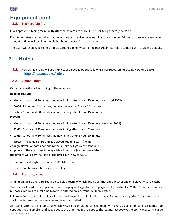



## <span id="page-6-0"></span>**Equipment cont..**

#### <span id="page-6-1"></span>**2.5. Pitchers Masks**

CSA Approved pitching masks with attached helmet are MANDITORY for ALL pitchers (new for 2019).

If a pitcher takes the mound without one, they will be given one warning to put one on. Failure to do so in a reasonable amount of time will result in the pitcher being ejected from the game.

The team will then have to field a replacement pitcher wearing the mask/helmet. Failure to do so will result in a default.

### <span id="page-6-2"></span>**3. Rules**

<span id="page-6-3"></span>**3.2.** NSA Canada rules will apply unless superseded by the following rules (updated for 2005). NSA Rule Book: **<https://nsacanada.ca/rules/>**

#### <span id="page-6-4"></span>**3.3. Game Times**

Game times will start according to the schedule:

#### <span id="page-6-5"></span>**Regular Season:**

- **Men's:** 1 hour and 30 minutes, no new inning after 1 hour 20 minutes (updated 2022)
- **Co-Ed:** 1 hour and 30 minutes, no new inning after 1 hour 20 minutes
- <span id="page-6-6"></span>▪ **Ladies:** 1 hour and 30 minutes, no new inning after 1 hour 15 minutes **Playoffs:**
- **Men's:** 1 hour and 30 minutes, no new inning after 1 hour 20 minutes (new for 2019)
- **Co-Ed:** 1 hour and 30 minutes, no new inning after 1 hour 20 minutes
- **Ladies:** 1 hour and 30 minutes, no new inning after 1 hour 20 minutes
- **Notes**: If a game's start time is delayed due to a team (i.e. not enough players or bases not put in) the umpire will go by the schedule stop time. If the start time is delayed due to umpire (i.e. umpire is late) the umpire will go by the time of the first pitch (new for 2019).
- Diamonds with lights are on an 11:00PM curfew
- <span id="page-6-7"></span>▪ Games can be called based on scheduling

#### **3.4. Fielding a Team**

A minimum of 8 players are required to field a team, of which one player must be a pitcher and one player must a catcher.

Teams are allowed to pick up a maximum of 4 players to get to the 10 player limit (updated for 2018). Note for insurance purposes, pickups can ONLY be players registered on a current CSP team roster.

Failure to field a team with at least 8 players will result in a default. Note that a 15 minute grace period from the scheduled start time is permitted before a default is actually called.

Last Updated: April 27,2022, Page 7 All Teams MUST use line-up cards which MUST be completed by each team with every player's first and last name. Top copy goes to the umpire, 2nd copy goes to the other team, 3rd copy to the league, last copy you keep. Mandatory: league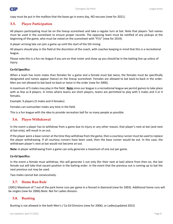

copy must be put in the mailbox that the bases go in every day, NO excuses (new for 2021).

#### <span id="page-7-0"></span>**3.5. Player Participation**

All players participating must be on the lineup scoresheet and take a regular turn at bat. Note that players 'last names must be used in the scoresheet to ensure proper records. The opposing team must be notified of any pickups at the beginning of the game, who must be noted on the scoresheet with "P/U" (new for 2019).

A player arriving late can join a game up until the start of the 5th inning.

All players should play in the field at the discretion of the coach, with coaches keeping in mind that this is a recreational league.

Please note this is a fun rec league if you are on that roster and show up you should be in the batting line up unless of injury.

#### <span id="page-7-1"></span>**Co-Ed Specifics:**

When a team has more males than females for a game and a female must bat twice, the females must be specifically designated and names appear (twice) on the lineup scoresheet. Females are allowed to bat back-to-back in the order. Men are not allowed to bat back-to-back or twice in the order (new for 2006).

A maximum of 5 males may play in the field. **Note** since our league is a recreational league we permit gamesto take place with as few as 8 players. In times where teams are short players, teams are permitted to play with 5 males and 3 or 4 females.

Example: 9 players (5 males and 4 females)

Females can outnumber males any time in the field.

This is a fun league with the idea to provide recreation ball for as many people as possible.

#### <span id="page-7-2"></span>**3.6. Player Withdrawal**

In the event a player has to withdraw from a game due to injury or any other reason, that player's next at bat (and next at bat only), will result in an out.

If the player were a base runner at the time they withdraw from the game, then a courtesy runner must be used to replace the player withdrawing. If all courtesy runners have been used, then the base runner would be out. In this case, the withdrawn player's next at bat would not become an out.

**Note:** A player withdrawing from a game can only generate a maximum of one out per game.

#### <span id="page-7-3"></span>**Co-Ed Specifics:**

In the event a female must withdraw, this will generate 1 out only (for their next at bat) where from then on, the last female out will take that vacant position in the batting order. In the event that the previous out is coming up to bat the next previous out may be used.

Two males cannot bat consecutively.

#### <span id="page-7-4"></span>**3.7. Home Run Rule**

(2001) Maximum of 7 out of the park home runs per game in a fenced in diamond (new for 2003). Additional home runs will be singles (new for 2006).Note: Not for Ladies division.

#### <span id="page-7-5"></span>**3.8. Bunting**

Bunting is not allowed in the both Men's / Co-Ed Divisions (new for 2006). or Ladies(updated 2022)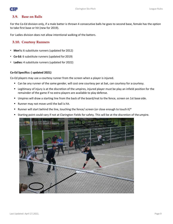

#### <span id="page-8-0"></span>**3.9. Base on Balls**

For the Co-Ed division only, if a male batter is thrown 4 consecutive balls he goes to second base, female has the option to take first base or hit (new for 2019).

For Ladies division does not allow intentional walking of the batters.

#### <span id="page-8-1"></span>**3.10. Courtesy Runners**

- **Men's:** 6 substitute runners (updated for 2012)
- **Co-Ed:** 6 substitute runners (updated for 2019)
- **Ladies:** 4 substitute runners (updated for 2022)

#### <span id="page-8-2"></span>**Co-Ed Specifics: ( updated 2021)**

Co-Ed players may use a courtesy runner from the screen when a player is injured.

- Can be any runner of the same gender, will cost one courtesy per at bat, can courtesy for a courtesy.
- Legitimacy of injury is at the discretion of the umpires, injured player must be play an infield position for the remainder of the game if no extra players are available to play defense.
- Umpires will draw a starting line from the back of the board/mat to the fence, screen on 1st base side.
- Runner may not move until the ball is hit.
- Runner will start behind the line, touching the fence/ screen (or close enough to touch it)\*
- Starting point could vary if not at Clarington Fields for safety. This will be at the discretion of theumpire.

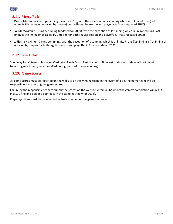

#### <span id="page-9-0"></span>**3.11. Mercy Rule**

- **Men's:** Maximum 7 runs per inning (new for 2019), with the exception of last inning which is unlimited runs (last inning is 7th inning or as called by umpire). for both regular season and playoffs & Finals (updated 2022)
- **Co-Ed:** Maximum 7 runs per inning (updated for 2019), with the exception of last inning which is unlimited runs (last inning is 7th inning or as called by umpire). for both regular season and playoffs & Finals (updated 2022)
- **Ladies: :** Maximum 7 runs per inning, with the exception of last inning which is unlimited runs (last inning is 7th inning or as called by umpire for both regular season and playoffs & Finals ( updated 2022)

#### <span id="page-9-1"></span>**3.12. Sun Delay**

Sun delay for all teams playing on Clarington Fields South East diamond. Time lost during sun delays will not count towards game time. ( must be called during the start of a new inning)

#### <span id="page-9-2"></span>**3.13. Game Scores**

All game scores must be reported on the website by the winning team. In the event of a tie, the home team will be responsible for reporting the game scores.

Failure by the responsible team to submit the scores on the website within 48 hours of the game's completion will result in a \$10 fine and possible point loss in the standings (new for 2018).

Player ejections must be included in the Notes section of the game's scorecard.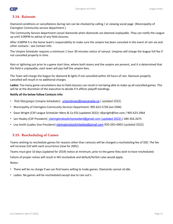

#### <span id="page-10-0"></span>**3.14. Rainouts**

Diamond conditions or cancellations during rain can be checked by calling / or viewing social page (Municipality of Clarington Community service department ).

The Community Service department cancel diamonds when diamonds are deemed unplayable. They can notify the League up until 3:00PM to advise of any field closures.

After 3:00PM it is the home team's responsibility to make sure the umpire has been canceled in the event of rain via and other contacts : see Contact info:

The Umpire Scheduler requires a minimum 1 hour 30 minutes notice of rainout. Umpires will charge the league full fee if not cancelled properly in time.

Rain or lightning just prior to a game start time, where both teams and the umpire are present, and it is determined that the field is unplayable, each team will pay half the umpire fees.

The Town will charge the league for diamond & lights if not cancelled within 24 hours of rain. Rainouts properly cancelled will result in no additional charges

**Ladies:** Too many game cancelations due to field closures can result in not being able to make up all cancelled games. This will be at the discretion of the executive to decide if it affects playoff standings.

#### <span id="page-10-1"></span>**Notify all the below follow Contacts Info:**

- Rob Macgregor (Umpire Scheduler): [umprobmac@nsacanada.ca](mailto:umprobmac@nsacanada.ca) ( updated 2022)
- Municipality of Clarington Community Services Department: 905-623-5728 (ext 2584)
- Dave Wright (CSP League Scheduler Mens & Co-ED) (updated 2022)[: dljwright@live.com /](mailto:dljwright@live.com) 905-623-2964
- Len Healey (CSP President) [claringtonslopitchpresident@gmail.com](mailto:%20claringtonslopitchpresident@gmail.com%20(updated%202022)) (updated 2022) / 289-356-2675
- Lisa Smith (Ladies Vice President) [claringtonslopitchladies@gmail.com](mailto:claringtonslopitchladies@gmail.com) 905-260-4965 (updated 2022)

#### <span id="page-10-2"></span>**3.15. Rescheduling of Games**

Teams wishing to reschedule games for reasons other than rainouts will be charged a rescheduling fee of \$50. The fee will increase \$10 with each occurrence (new for 2001).

Teams must give 10 days (updated for 2019) notice at minimum, prior to the game they wish to have rescheduled.

Failure of proper notice will result in NO reschedule and default/forfeit rules would apply.

Notes:

- There will be no charge if we can find teams willing to trade games. Diamonds cannot sit idle.
- Ladies: No games will be rescheduled except due to rain out's.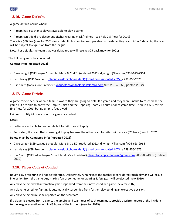

#### <span id="page-11-0"></span>**3.16. Game Defaults**

A game default occurs when:

- A team has less than 8 players available to play a game
- A team can't field a replacement pitcher wearing mask/helmet see Rule 2.5 (new for 2019)

There is a \$50 fine (new for 2001) for a default plus umpire fees, payable by the defaulting team. After 3 defaults, the team will be subject to expulsion from the league.

Note: Per default, the team that was defaulted to will receive \$25 back (new for 2021)

<span id="page-11-1"></span>The following must be contacted:

#### **Contact Info: ( updated 2022)**

- Dave Wright (CSP League Scheduler Mens & Co-ED) (updated 2022)[: dljwright@live.com /](mailto:dljwright@live.com) 905-623-2964
- Len Healey (CSP President) [claringtonslopitchpresident@gmail.com \(updated 2022\)](mailto:%20claringtonslopitchpresident@gmail.com%20(updated%202022)) / 289-356-2675
- **•** Lisa Smith (Ladies Vice President) [claringtonslopitchladies@gmail.com](mailto:claringtonslopitchladies@gmail.com) 905-260-4965 (updated 2022)

#### <span id="page-11-2"></span>**3.17. Game Forfeits**

A game forfeit occurs when a team is aware they are going to default a game and they were unable to reschedule the game but are able to notify the Umpire Chief and the Opposing Team 24 hours prior to game time. There is a \$50 forfeit fine (new for 2001) but no umpire fees owed.

Failure to notify 24 hours prior to a game is a default.

Notes:

- Ladies are not able to reschedule but forfeit rules still apply.
- Per forfeit, the team that doesn't get to play because the other team forfeited will receive \$25 back (new for 2021)

#### <span id="page-11-3"></span>**Below must be Contacted Info: ( updated 2022)**

- Dave Wright (CSP League Scheduler Mens & Co-ED) (updated 2022)[: dljwright@live.com /](mailto:dljwright@live.com) 905-623-2964
- Len Healey (CSP President) [claringtonslopitchpresident@gmail.com \(updated 2022\)](mailto:%20claringtonslopitchpresident@gmail.com%20(updated%202022)) / 289-356-2675
- **·** Lisa Smith (CSP Ladies league Scheduler & Vice President) [claringtonslopitchladies@gmail.com](mailto:claringtonslopitchladies@gmail.com) 905-260-4965 (updated 2022)

#### <span id="page-11-4"></span>**3.18. Player Code of Conduct**

Rough play or fighting will not be tolerated. Deliberately running into the catcher is considered rough play and will result in ejection from the game. Any making fun of someone for wearing Safety gear will be ejected (new 2019)

Any player ejected will automatically be suspended from their next scheduled game (new for 2007).

Any player ejected for fighting is automatically suspended from further play pending an executive decision.

Any player ejected must be reported on the scorecard.

If a player is ejected from a game, the umpire and team reps of each team must provide a written report of the incident to the league executives within 48 hours of the incident (new for 2019).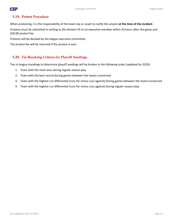

#### <span id="page-12-0"></span>**3.19. Protest Procedure**

When protesting, it is the responsibility of the team rep or coach to notify the umpire **at the time of the incident**.

Protests must be submitted in writing to the division VP or an executive member within 24 hours after the game and \$50.00 protest fee.

Protests will be decided by the league executive committee.

The protest fee will be returned if the protest is won.

#### <span id="page-12-1"></span>**3.20. Tie-Breaking Criteria for Playoff Seedings**

Ties in league standings to determine playoff seedings will be broken in the following order (updated for 2019):

- 1. Team with the most wins during regular season play
- 2. Team with the best record during games between the teams concerned
- 3. Team with the highest run differential (runs for minus runs against) during games between the teams concerned
- 4. Team with the highest run differential (runs for minus runs against) during regular season play